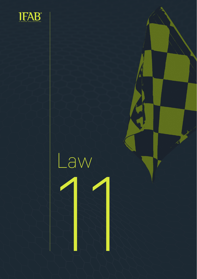

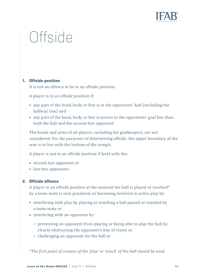

# **Offside**

## **1. Offside position**

It is not an offence to be in an offside position.

A player is in an offside position if:

- any part of the head, body or feet is in the opponents' half (excluding the halfway line) and
- any part of the head, body or feet is nearer to the opponents' goal line than both the ball and the second-last opponent

The hands and arms of all players, including the goalkeepers, are not considered. For the purposes of determining offside, the upper boundary of the arm is in line with the bottom of the armpit.

A player is not in an offside position if level with the:

- second-last opponent or
- last two opponents

#### **2. Offside offence**

A player in an offside position at the moment the ball is played or touched\* by a team-mate is only penalised on becoming involved in active play by:

- interfering with play by playing or touching a ball passed or touched by a team-mate or •• second-last opponent or<br>
• last two opponents<br> **2. Offside offence**<br>
A player in an offside position at the moment the ball is played or touche<br>
by a team-mate is only penalised on becoming involved in active play by:<br>
	- interfering with an opponent by:
		- **•** preventing an opponent from playing or being able to play the ball by clearly obstructing the opponent's line of vision or
		-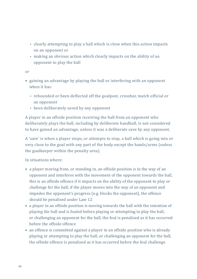- **•** clearly attempting to play a ball which is close when this action impacts on an opponent or
- **•** making an obvious action which clearly impacts on the ability of an opponent to play the ball

*or*

- gaining an advantage by playing the ball or interfering with an opponent when it has:
	- **•** rebounded or been deflected off the goalpost, crossbar, match official or an opponent
	- **•** been deliberately saved by any opponent

A player in an offside position receiving the ball from an opponent who deliberately plays the ball, including by deliberate handball, is not considered to have gained an advantage, unless it was a deliberate save by any opponent.

A 'save' is when a player stops, or attempts to stop, a ball which is going into or very close to the goal with any part of the body except the hands/arms (unless the goalkeeper within the penalty area).

In situations where:

- a player moving from, or standing in, an offside position is in the way of an opponent and interferes with the movement of the opponent towards the ball, this is an offside offence if it impacts on the ability of the opponent to play or challenge for the ball; if the player moves into the way of an opponent and impedes the opponent's progress (e.g. blocks the opponent), the offence should be penalised under Law 12
- a player in an offside position is moving towards the ball with the intention of playing the ball and is fouled before playing or attempting to play the ball, or challenging an opponent for the ball, the foul is penalised as it has occurred before the offside offence
- an offence is committed against a player in an offside position who is already playing or attempting to play the ball, or challenging an opponent for the ball, the offside offence is penalised as it has occurred before the foul challenge